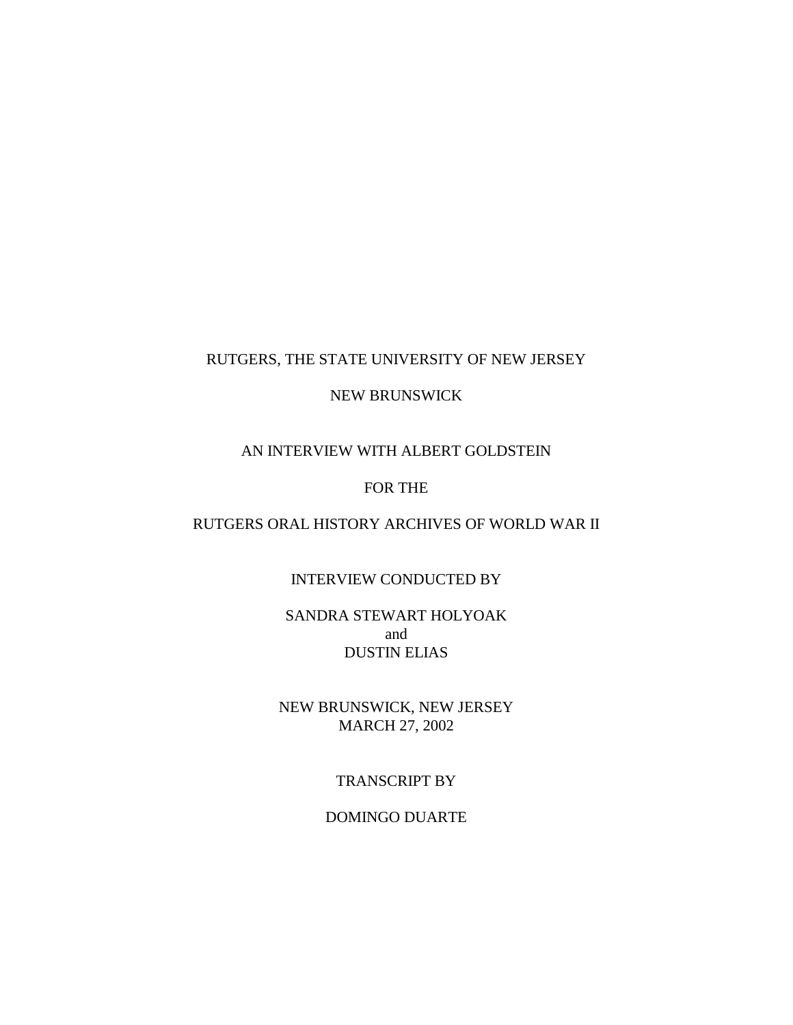## RUTGERS, THE STATE UNIVERSITY OF NEW JERSEY

### NEW BRUNSWICK

# AN INTERVIEW WITH ALBERT GOLDSTEIN

## FOR THE

### RUTGERS ORAL HISTORY ARCHIVES OF WORLD WAR II

## INTERVIEW CONDUCTED BY

## SANDRA STEWART HOLYOAK and DUSTIN ELIAS

## NEW BRUNSWICK, NEW JERSEY MARCH 27, 2002

#### TRANSCRIPT BY

#### DOMINGO DUARTE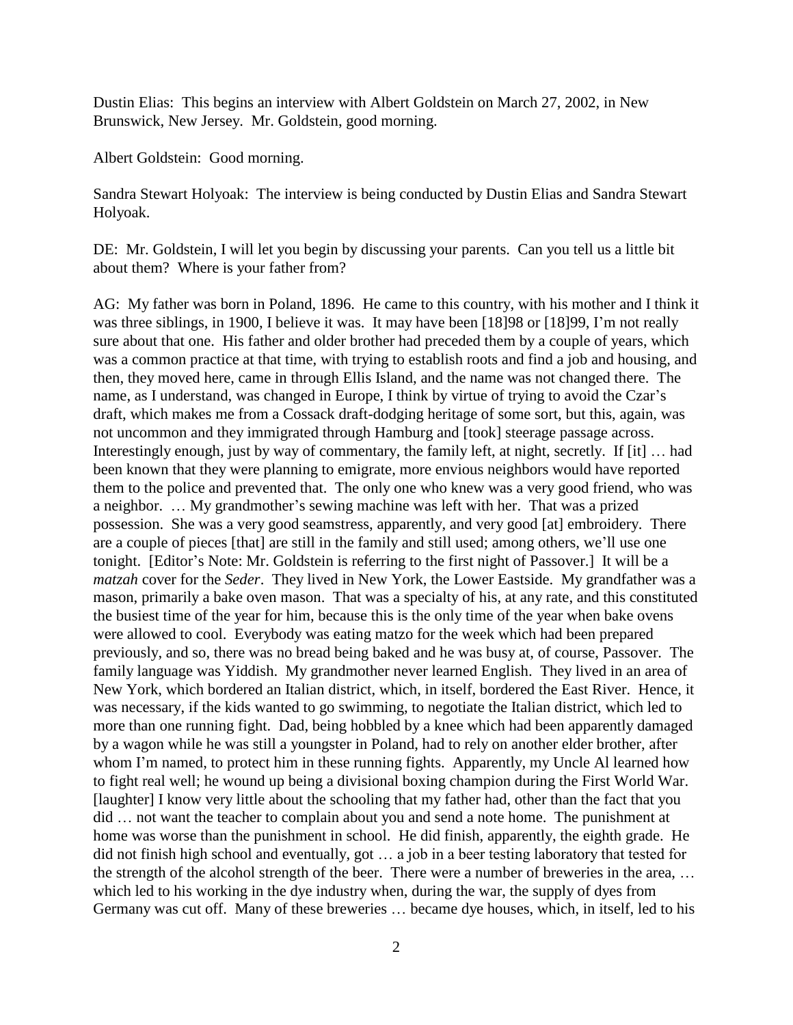Dustin Elias: This begins an interview with Albert Goldstein on March 27, 2002, in New Brunswick, New Jersey. Mr. Goldstein, good morning.

Albert Goldstein: Good morning.

Sandra Stewart Holyoak: The interview is being conducted by Dustin Elias and Sandra Stewart Holyoak.

DE: Mr. Goldstein, I will let you begin by discussing your parents. Can you tell us a little bit about them? Where is your father from?

AG: My father was born in Poland, 1896. He came to this country, with his mother and I think it was three siblings, in 1900, I believe it was. It may have been [18]98 or [18]99, I'm not really sure about that one. His father and older brother had preceded them by a couple of years, which was a common practice at that time, with trying to establish roots and find a job and housing, and then, they moved here, came in through Ellis Island, and the name was not changed there. The name, as I understand, was changed in Europe, I think by virtue of trying to avoid the Czar's draft, which makes me from a Cossack draft-dodging heritage of some sort, but this, again, was not uncommon and they immigrated through Hamburg and [took] steerage passage across. Interestingly enough, just by way of commentary, the family left, at night, secretly. If [it] … had been known that they were planning to emigrate, more envious neighbors would have reported them to the police and prevented that. The only one who knew was a very good friend, who was a neighbor. … My grandmother's sewing machine was left with her. That was a prized possession. She was a very good seamstress, apparently, and very good [at] embroidery. There are a couple of pieces [that] are still in the family and still used; among others, we'll use one tonight. [Editor's Note: Mr. Goldstein is referring to the first night of Passover.] It will be a *matzah* cover for the *Seder*. They lived in New York, the Lower Eastside. My grandfather was a mason, primarily a bake oven mason. That was a specialty of his, at any rate, and this constituted the busiest time of the year for him, because this is the only time of the year when bake ovens were allowed to cool. Everybody was eating matzo for the week which had been prepared previously, and so, there was no bread being baked and he was busy at, of course, Passover. The family language was Yiddish. My grandmother never learned English. They lived in an area of New York, which bordered an Italian district, which, in itself, bordered the East River. Hence, it was necessary, if the kids wanted to go swimming, to negotiate the Italian district, which led to more than one running fight. Dad, being hobbled by a knee which had been apparently damaged by a wagon while he was still a youngster in Poland, had to rely on another elder brother, after whom I'm named, to protect him in these running fights. Apparently, my Uncle Al learned how to fight real well; he wound up being a divisional boxing champion during the First World War. [laughter] I know very little about the schooling that my father had, other than the fact that you did … not want the teacher to complain about you and send a note home. The punishment at home was worse than the punishment in school. He did finish, apparently, the eighth grade. He did not finish high school and eventually, got … a job in a beer testing laboratory that tested for the strength of the alcohol strength of the beer. There were a number of breweries in the area, … which led to his working in the dye industry when, during the war, the supply of dyes from Germany was cut off. Many of these breweries … became dye houses, which, in itself, led to his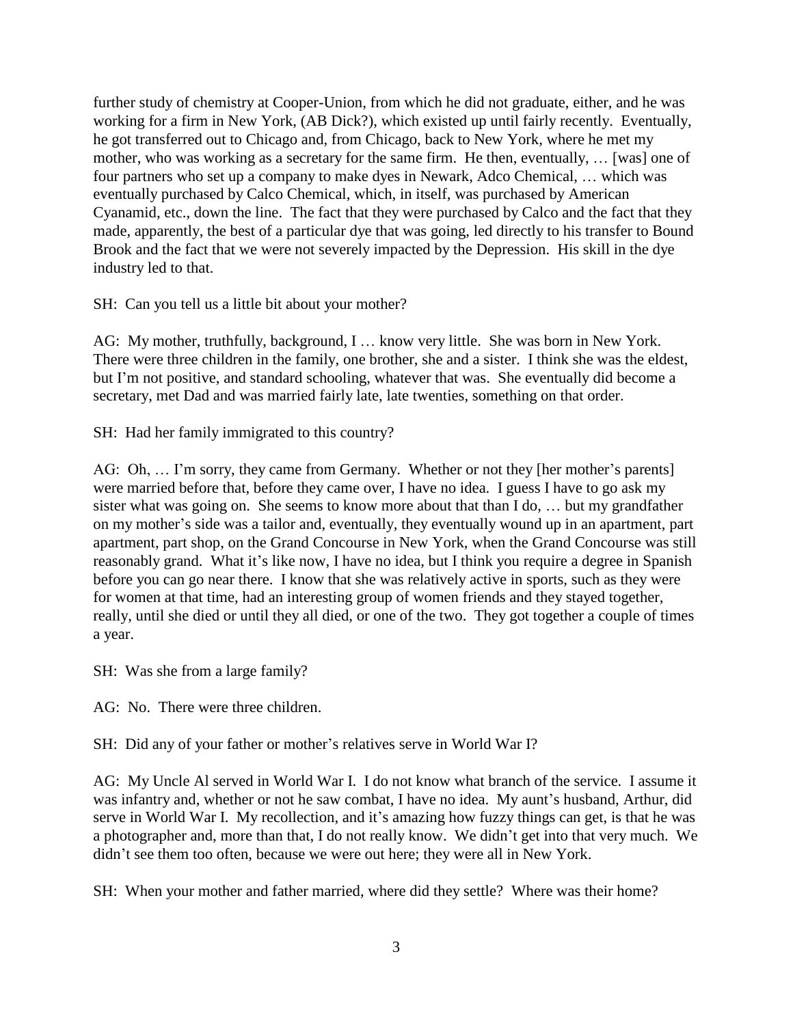further study of chemistry at Cooper-Union, from which he did not graduate, either, and he was working for a firm in New York, (AB Dick?), which existed up until fairly recently. Eventually, he got transferred out to Chicago and, from Chicago, back to New York, where he met my mother, who was working as a secretary for the same firm. He then, eventually, … [was] one of four partners who set up a company to make dyes in Newark, Adco Chemical, … which was eventually purchased by Calco Chemical, which, in itself, was purchased by American Cyanamid, etc., down the line. The fact that they were purchased by Calco and the fact that they made, apparently, the best of a particular dye that was going, led directly to his transfer to Bound Brook and the fact that we were not severely impacted by the Depression. His skill in the dye industry led to that.

SH: Can you tell us a little bit about your mother?

AG: My mother, truthfully, background, I … know very little. She was born in New York. There were three children in the family, one brother, she and a sister. I think she was the eldest, but I'm not positive, and standard schooling, whatever that was. She eventually did become a secretary, met Dad and was married fairly late, late twenties, something on that order.

SH: Had her family immigrated to this country?

AG: Oh, ... I'm sorry, they came from Germany. Whether or not they [her mother's parents] were married before that, before they came over, I have no idea. I guess I have to go ask my sister what was going on. She seems to know more about that than I do, … but my grandfather on my mother's side was a tailor and, eventually, they eventually wound up in an apartment, part apartment, part shop, on the Grand Concourse in New York, when the Grand Concourse was still reasonably grand. What it's like now, I have no idea, but I think you require a degree in Spanish before you can go near there. I know that she was relatively active in sports, such as they were for women at that time, had an interesting group of women friends and they stayed together, really, until she died or until they all died, or one of the two. They got together a couple of times a year.

SH: Was she from a large family?

AG: No. There were three children.

SH: Did any of your father or mother's relatives serve in World War I?

AG: My Uncle Al served in World War I. I do not know what branch of the service. I assume it was infantry and, whether or not he saw combat, I have no idea. My aunt's husband, Arthur, did serve in World War I. My recollection, and it's amazing how fuzzy things can get, is that he was a photographer and, more than that, I do not really know. We didn't get into that very much. We didn't see them too often, because we were out here; they were all in New York.

SH: When your mother and father married, where did they settle? Where was their home?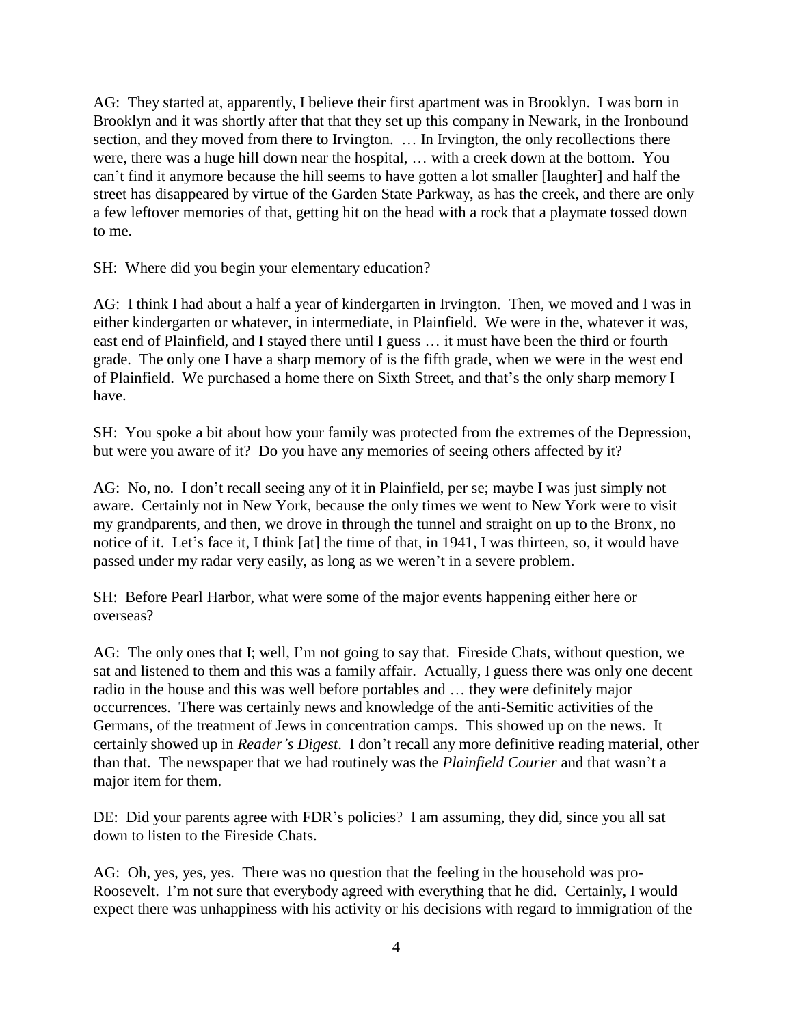AG: They started at, apparently, I believe their first apartment was in Brooklyn. I was born in Brooklyn and it was shortly after that that they set up this company in Newark, in the Ironbound section, and they moved from there to Irvington. ... In Irvington, the only recollections there were, there was a huge hill down near the hospital, … with a creek down at the bottom. You can't find it anymore because the hill seems to have gotten a lot smaller [laughter] and half the street has disappeared by virtue of the Garden State Parkway, as has the creek, and there are only a few leftover memories of that, getting hit on the head with a rock that a playmate tossed down to me.

SH: Where did you begin your elementary education?

AG: I think I had about a half a year of kindergarten in Irvington. Then, we moved and I was in either kindergarten or whatever, in intermediate, in Plainfield. We were in the, whatever it was, east end of Plainfield, and I stayed there until I guess … it must have been the third or fourth grade. The only one I have a sharp memory of is the fifth grade, when we were in the west end of Plainfield. We purchased a home there on Sixth Street, and that's the only sharp memory I have.

SH: You spoke a bit about how your family was protected from the extremes of the Depression, but were you aware of it? Do you have any memories of seeing others affected by it?

AG: No, no. I don't recall seeing any of it in Plainfield, per se; maybe I was just simply not aware. Certainly not in New York, because the only times we went to New York were to visit my grandparents, and then, we drove in through the tunnel and straight on up to the Bronx, no notice of it. Let's face it, I think [at] the time of that, in 1941, I was thirteen, so, it would have passed under my radar very easily, as long as we weren't in a severe problem.

SH: Before Pearl Harbor, what were some of the major events happening either here or overseas?

AG: The only ones that I; well, I'm not going to say that. Fireside Chats, without question, we sat and listened to them and this was a family affair. Actually, I guess there was only one decent radio in the house and this was well before portables and … they were definitely major occurrences. There was certainly news and knowledge of the anti-Semitic activities of the Germans, of the treatment of Jews in concentration camps. This showed up on the news. It certainly showed up in *Reader's Digest*. I don't recall any more definitive reading material, other than that. The newspaper that we had routinely was the *Plainfield Courier* and that wasn't a major item for them.

DE: Did your parents agree with FDR's policies? I am assuming, they did, since you all sat down to listen to the Fireside Chats.

AG: Oh, yes, yes, yes. There was no question that the feeling in the household was pro-Roosevelt. I'm not sure that everybody agreed with everything that he did. Certainly, I would expect there was unhappiness with his activity or his decisions with regard to immigration of the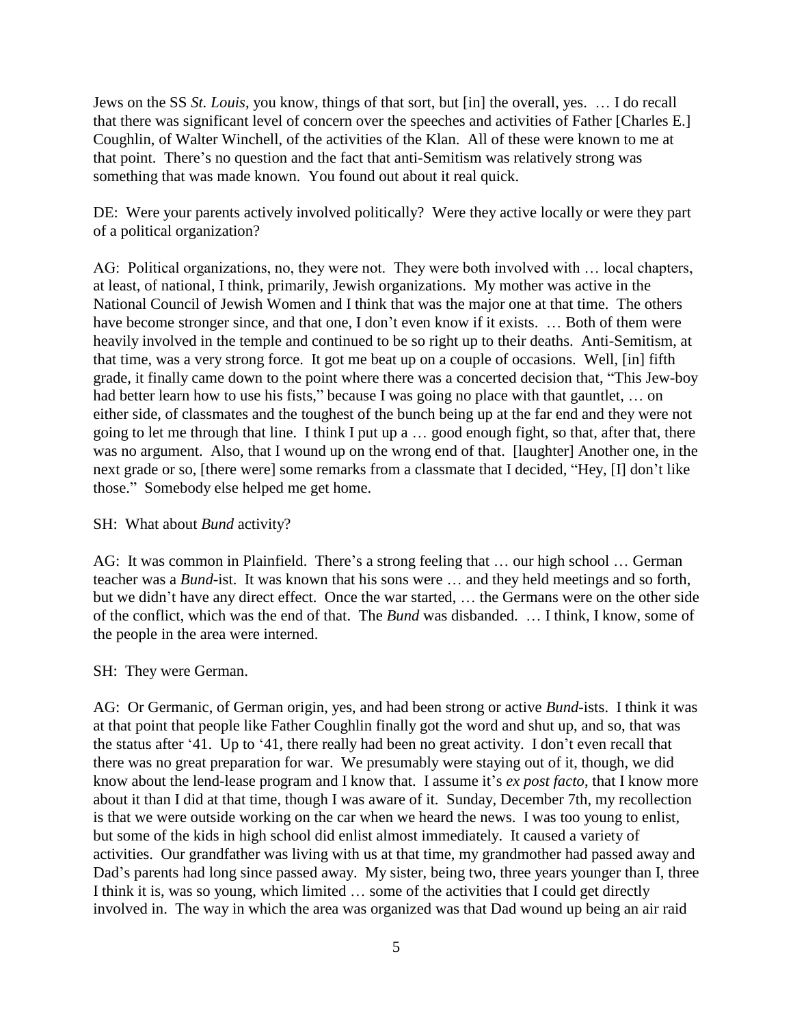Jews on the SS *St. Louis*, you know, things of that sort, but [in] the overall, yes. … I do recall that there was significant level of concern over the speeches and activities of Father [Charles E.] Coughlin, of Walter Winchell, of the activities of the Klan. All of these were known to me at that point. There's no question and the fact that anti-Semitism was relatively strong was something that was made known. You found out about it real quick.

DE: Were your parents actively involved politically? Were they active locally or were they part of a political organization?

AG: Political organizations, no, they were not. They were both involved with … local chapters, at least, of national, I think, primarily, Jewish organizations. My mother was active in the National Council of Jewish Women and I think that was the major one at that time. The others have become stronger since, and that one, I don't even know if it exists. ... Both of them were heavily involved in the temple and continued to be so right up to their deaths. Anti-Semitism, at that time, was a very strong force. It got me beat up on a couple of occasions. Well, [in] fifth grade, it finally came down to the point where there was a concerted decision that, "This Jew-boy had better learn how to use his fists," because I was going no place with that gauntlet, … on either side, of classmates and the toughest of the bunch being up at the far end and they were not going to let me through that line. I think I put up a … good enough fight, so that, after that, there was no argument. Also, that I wound up on the wrong end of that. [laughter] Another one, in the next grade or so, [there were] some remarks from a classmate that I decided, "Hey, [I] don't like those." Somebody else helped me get home.

### SH: What about *Bund* activity?

AG: It was common in Plainfield. There's a strong feeling that … our high school … German teacher was a *Bund*-ist. It was known that his sons were … and they held meetings and so forth, but we didn't have any direct effect. Once the war started, … the Germans were on the other side of the conflict, which was the end of that. The *Bund* was disbanded. … I think, I know, some of the people in the area were interned.

#### SH: They were German.

AG: Or Germanic, of German origin, yes, and had been strong or active *Bund*-ists. I think it was at that point that people like Father Coughlin finally got the word and shut up, and so, that was the status after '41. Up to '41, there really had been no great activity. I don't even recall that there was no great preparation for war. We presumably were staying out of it, though, we did know about the lend-lease program and I know that. I assume it's *ex post facto*, that I know more about it than I did at that time, though I was aware of it. Sunday, December 7th, my recollection is that we were outside working on the car when we heard the news. I was too young to enlist, but some of the kids in high school did enlist almost immediately. It caused a variety of activities. Our grandfather was living with us at that time, my grandmother had passed away and Dad's parents had long since passed away. My sister, being two, three years younger than I, three I think it is, was so young, which limited … some of the activities that I could get directly involved in. The way in which the area was organized was that Dad wound up being an air raid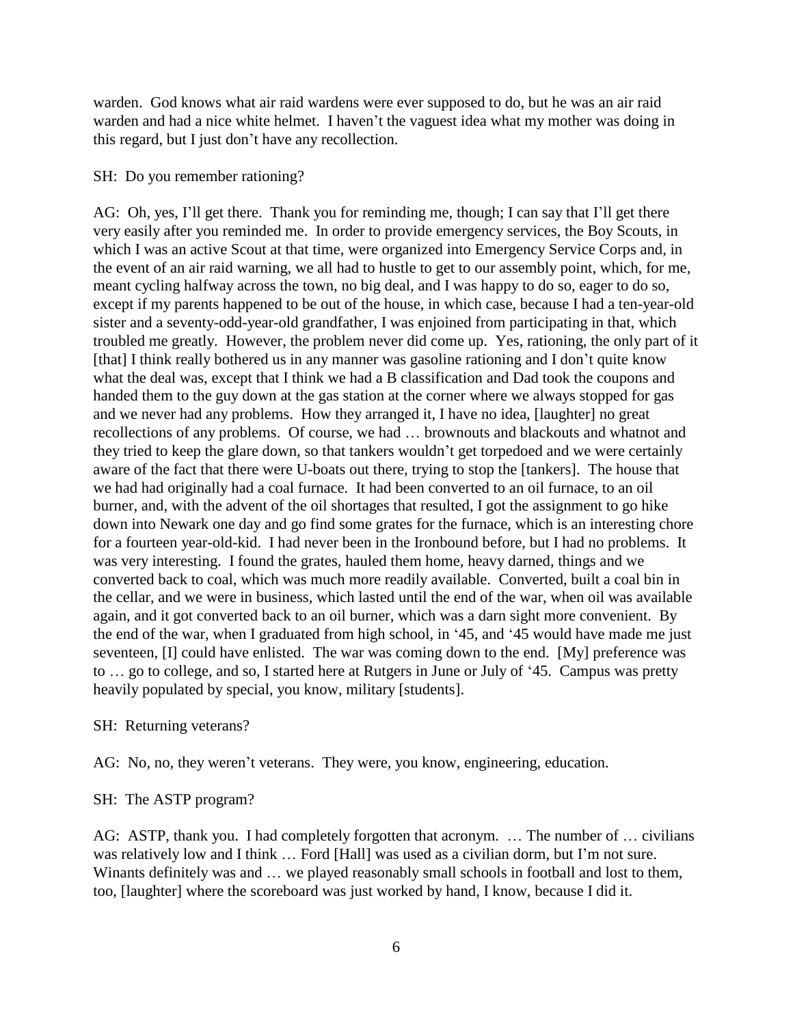warden. God knows what air raid wardens were ever supposed to do, but he was an air raid warden and had a nice white helmet. I haven't the vaguest idea what my mother was doing in this regard, but I just don't have any recollection.

#### SH: Do you remember rationing?

AG: Oh, yes, I'll get there. Thank you for reminding me, though; I can say that I'll get there very easily after you reminded me. In order to provide emergency services, the Boy Scouts, in which I was an active Scout at that time, were organized into Emergency Service Corps and, in the event of an air raid warning, we all had to hustle to get to our assembly point, which, for me, meant cycling halfway across the town, no big deal, and I was happy to do so, eager to do so, except if my parents happened to be out of the house, in which case, because I had a ten-year-old sister and a seventy-odd-year-old grandfather, I was enjoined from participating in that, which troubled me greatly. However, the problem never did come up. Yes, rationing, the only part of it [that] I think really bothered us in any manner was gasoline rationing and I don't quite know what the deal was, except that I think we had a B classification and Dad took the coupons and handed them to the guy down at the gas station at the corner where we always stopped for gas and we never had any problems. How they arranged it, I have no idea, [laughter] no great recollections of any problems. Of course, we had … brownouts and blackouts and whatnot and they tried to keep the glare down, so that tankers wouldn't get torpedoed and we were certainly aware of the fact that there were U-boats out there, trying to stop the [tankers]. The house that we had had originally had a coal furnace. It had been converted to an oil furnace, to an oil burner, and, with the advent of the oil shortages that resulted, I got the assignment to go hike down into Newark one day and go find some grates for the furnace, which is an interesting chore for a fourteen year-old-kid. I had never been in the Ironbound before, but I had no problems. It was very interesting. I found the grates, hauled them home, heavy darned, things and we converted back to coal, which was much more readily available. Converted, built a coal bin in the cellar, and we were in business, which lasted until the end of the war, when oil was available again, and it got converted back to an oil burner, which was a darn sight more convenient. By the end of the war, when I graduated from high school, in '45, and '45 would have made me just seventeen, [I] could have enlisted. The war was coming down to the end. [My] preference was to … go to college, and so, I started here at Rutgers in June or July of '45. Campus was pretty heavily populated by special, you know, military [students].

SH: Returning veterans?

AG: No, no, they weren't veterans. They were, you know, engineering, education.

SH: The ASTP program?

AG: ASTP, thank you. I had completely forgotten that acronym. … The number of … civilians was relatively low and I think … Ford [Hall] was used as a civilian dorm, but I'm not sure. Winants definitely was and ... we played reasonably small schools in football and lost to them, too, [laughter] where the scoreboard was just worked by hand, I know, because I did it.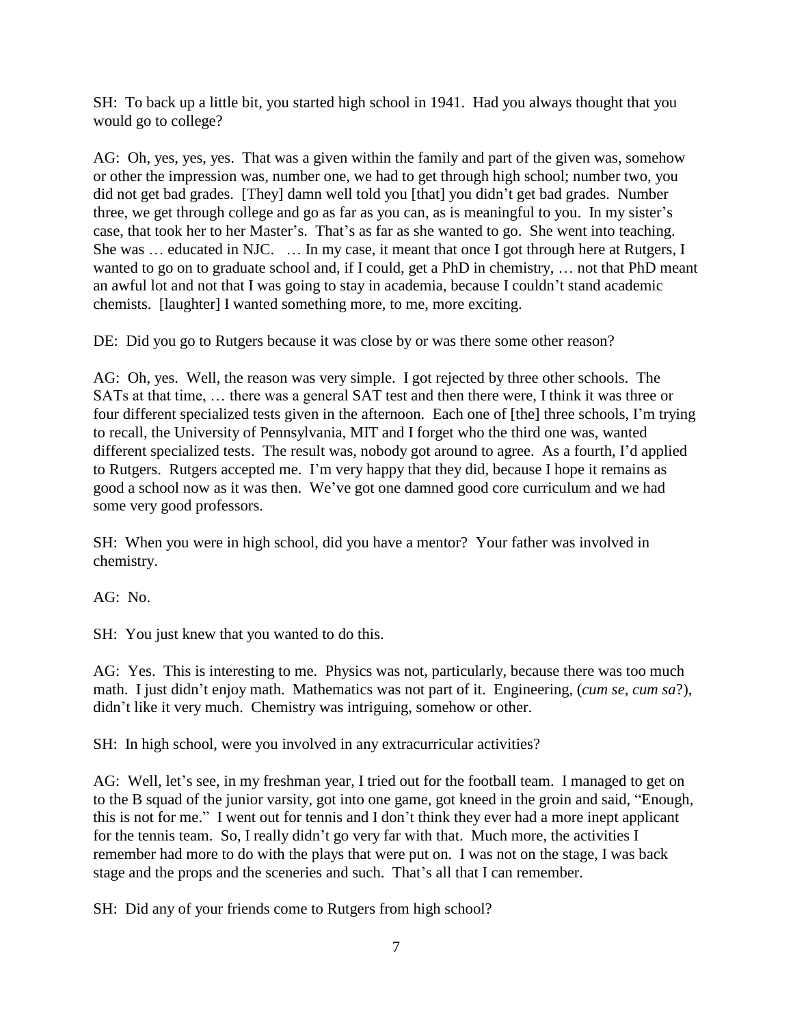SH: To back up a little bit, you started high school in 1941. Had you always thought that you would go to college?

AG: Oh, yes, yes, yes. That was a given within the family and part of the given was, somehow or other the impression was, number one, we had to get through high school; number two, you did not get bad grades. [They] damn well told you [that] you didn't get bad grades. Number three, we get through college and go as far as you can, as is meaningful to you. In my sister's case, that took her to her Master's. That's as far as she wanted to go. She went into teaching. She was … educated in NJC. … In my case, it meant that once I got through here at Rutgers, I wanted to go on to graduate school and, if I could, get a PhD in chemistry, … not that PhD meant an awful lot and not that I was going to stay in academia, because I couldn't stand academic chemists. [laughter] I wanted something more, to me, more exciting.

DE: Did you go to Rutgers because it was close by or was there some other reason?

AG: Oh, yes. Well, the reason was very simple. I got rejected by three other schools. The SATs at that time, … there was a general SAT test and then there were, I think it was three or four different specialized tests given in the afternoon. Each one of [the] three schools, I'm trying to recall, the University of Pennsylvania, MIT and I forget who the third one was, wanted different specialized tests. The result was, nobody got around to agree. As a fourth, I'd applied to Rutgers. Rutgers accepted me. I'm very happy that they did, because I hope it remains as good a school now as it was then. We've got one damned good core curriculum and we had some very good professors.

SH: When you were in high school, did you have a mentor? Your father was involved in chemistry.

AG: No.

SH: You just knew that you wanted to do this.

AG: Yes. This is interesting to me. Physics was not, particularly, because there was too much math. I just didn't enjoy math. Mathematics was not part of it. Engineering, (*cum se, cum sa*?), didn't like it very much. Chemistry was intriguing, somehow or other.

SH: In high school, were you involved in any extracurricular activities?

AG: Well, let's see, in my freshman year, I tried out for the football team. I managed to get on to the B squad of the junior varsity, got into one game, got kneed in the groin and said, "Enough, this is not for me." I went out for tennis and I don't think they ever had a more inept applicant for the tennis team. So, I really didn't go very far with that. Much more, the activities I remember had more to do with the plays that were put on. I was not on the stage, I was back stage and the props and the sceneries and such. That's all that I can remember.

SH: Did any of your friends come to Rutgers from high school?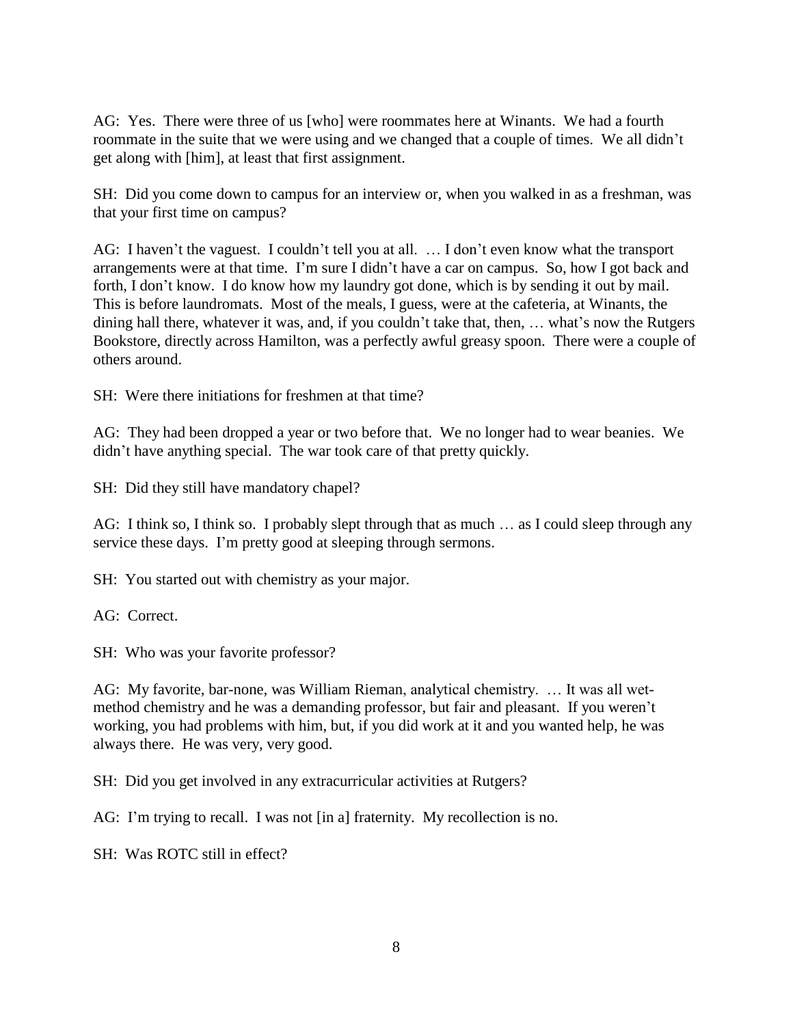AG: Yes. There were three of us [who] were roommates here at Winants. We had a fourth roommate in the suite that we were using and we changed that a couple of times. We all didn't get along with [him], at least that first assignment.

SH: Did you come down to campus for an interview or, when you walked in as a freshman, was that your first time on campus?

AG: I haven't the vaguest. I couldn't tell you at all. … I don't even know what the transport arrangements were at that time. I'm sure I didn't have a car on campus. So, how I got back and forth, I don't know. I do know how my laundry got done, which is by sending it out by mail. This is before laundromats. Most of the meals, I guess, were at the cafeteria, at Winants, the dining hall there, whatever it was, and, if you couldn't take that, then, … what's now the Rutgers Bookstore, directly across Hamilton, was a perfectly awful greasy spoon. There were a couple of others around.

SH: Were there initiations for freshmen at that time?

AG: They had been dropped a year or two before that. We no longer had to wear beanies. We didn't have anything special. The war took care of that pretty quickly.

SH: Did they still have mandatory chapel?

AG: I think so, I think so. I probably slept through that as much ... as I could sleep through any service these days. I'm pretty good at sleeping through sermons.

SH: You started out with chemistry as your major.

AG: Correct.

SH: Who was your favorite professor?

AG: My favorite, bar-none, was William Rieman, analytical chemistry. … It was all wetmethod chemistry and he was a demanding professor, but fair and pleasant. If you weren't working, you had problems with him, but, if you did work at it and you wanted help, he was always there. He was very, very good.

SH: Did you get involved in any extracurricular activities at Rutgers?

AG: I'm trying to recall. I was not [in a] fraternity. My recollection is no.

SH: Was ROTC still in effect?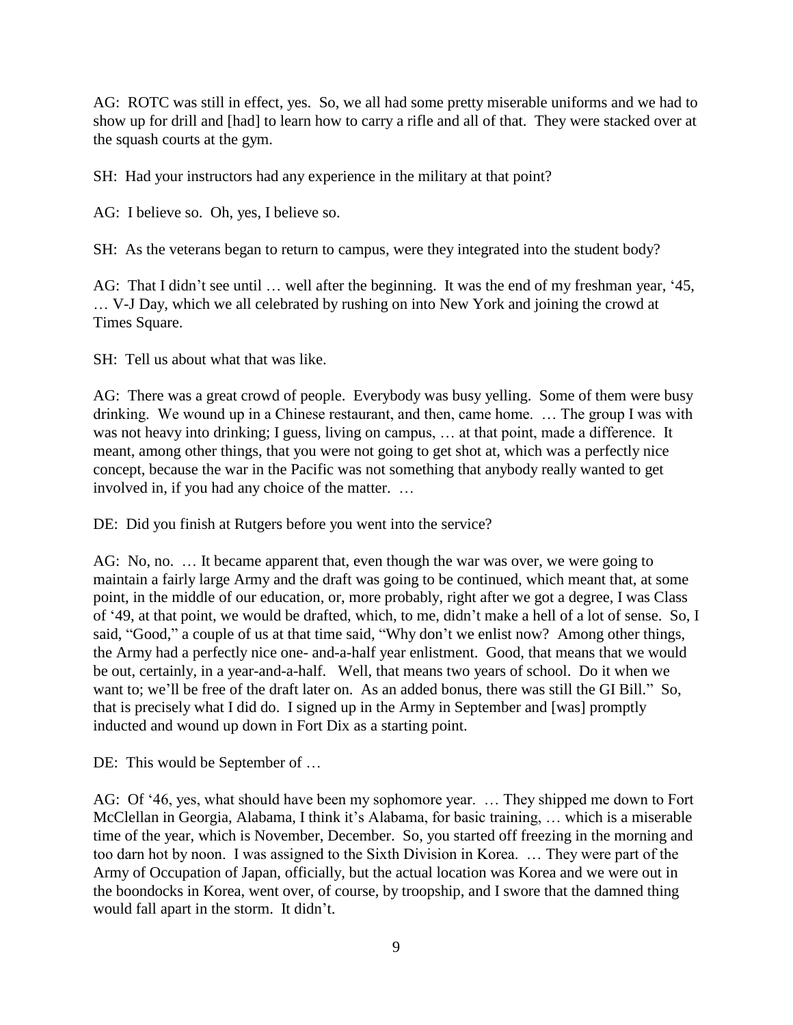AG: ROTC was still in effect, yes. So, we all had some pretty miserable uniforms and we had to show up for drill and [had] to learn how to carry a rifle and all of that. They were stacked over at the squash courts at the gym.

SH: Had your instructors had any experience in the military at that point?

AG: I believe so. Oh, yes, I believe so.

SH: As the veterans began to return to campus, were they integrated into the student body?

AG: That I didn't see until … well after the beginning. It was the end of my freshman year, '45, … V-J Day, which we all celebrated by rushing on into New York and joining the crowd at Times Square.

SH: Tell us about what that was like.

AG: There was a great crowd of people. Everybody was busy yelling. Some of them were busy drinking. We wound up in a Chinese restaurant, and then, came home. … The group I was with was not heavy into drinking; I guess, living on campus, … at that point, made a difference. It meant, among other things, that you were not going to get shot at, which was a perfectly nice concept, because the war in the Pacific was not something that anybody really wanted to get involved in, if you had any choice of the matter. …

DE: Did you finish at Rutgers before you went into the service?

AG: No, no. … It became apparent that, even though the war was over, we were going to maintain a fairly large Army and the draft was going to be continued, which meant that, at some point, in the middle of our education, or, more probably, right after we got a degree, I was Class of '49, at that point, we would be drafted, which, to me, didn't make a hell of a lot of sense. So, I said, "Good," a couple of us at that time said, "Why don't we enlist now? Among other things, the Army had a perfectly nice one- and-a-half year enlistment. Good, that means that we would be out, certainly, in a year-and-a-half. Well, that means two years of school. Do it when we want to; we'll be free of the draft later on. As an added bonus, there was still the GI Bill." So, that is precisely what I did do. I signed up in the Army in September and [was] promptly inducted and wound up down in Fort Dix as a starting point.

DE: This would be September of …

AG: Of '46, yes, what should have been my sophomore year. … They shipped me down to Fort McClellan in Georgia, Alabama, I think it's Alabama, for basic training, … which is a miserable time of the year, which is November, December. So, you started off freezing in the morning and too darn hot by noon. I was assigned to the Sixth Division in Korea. … They were part of the Army of Occupation of Japan, officially, but the actual location was Korea and we were out in the boondocks in Korea, went over, of course, by troopship, and I swore that the damned thing would fall apart in the storm. It didn't.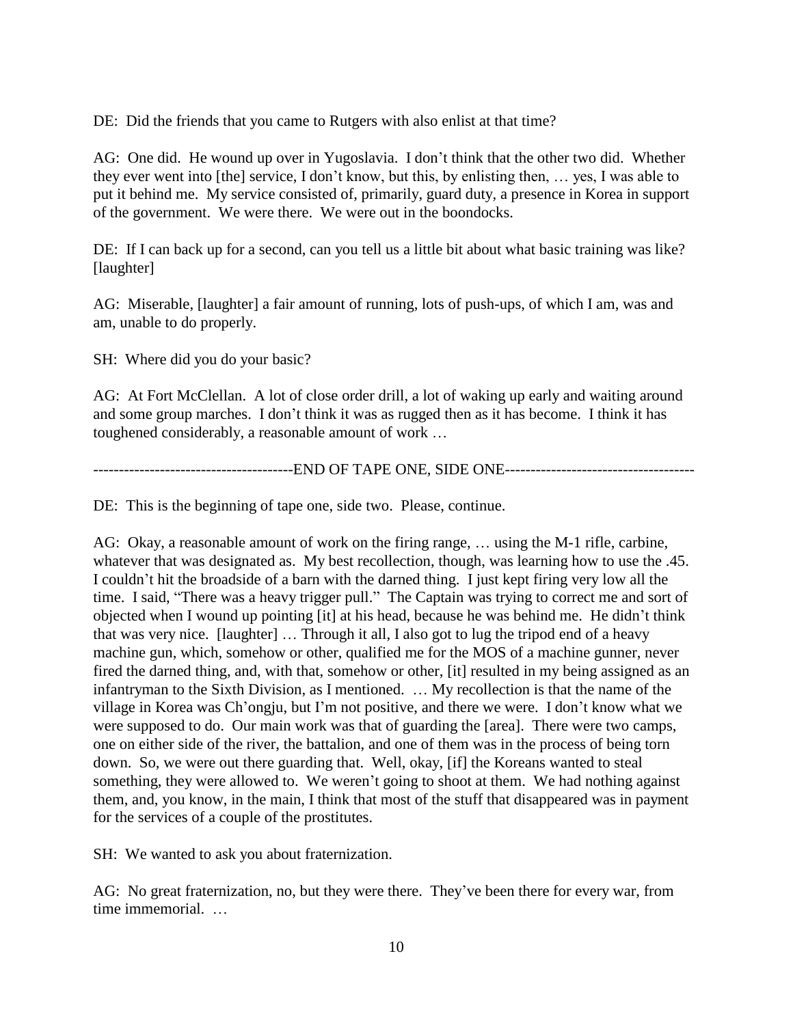DE: Did the friends that you came to Rutgers with also enlist at that time?

AG: One did. He wound up over in Yugoslavia. I don't think that the other two did. Whether they ever went into [the] service, I don't know, but this, by enlisting then, … yes, I was able to put it behind me. My service consisted of, primarily, guard duty, a presence in Korea in support of the government. We were there. We were out in the boondocks.

DE: If I can back up for a second, can you tell us a little bit about what basic training was like? [laughter]

AG: Miserable, [laughter] a fair amount of running, lots of push-ups, of which I am, was and am, unable to do properly.

SH: Where did you do your basic?

AG: At Fort McClellan. A lot of close order drill, a lot of waking up early and waiting around and some group marches. I don't think it was as rugged then as it has become. I think it has toughened considerably, a reasonable amount of work …

---------------------------------------END OF TAPE ONE, SIDE ONE-------------------------------------

DE: This is the beginning of tape one, side two. Please, continue.

AG: Okay, a reasonable amount of work on the firing range, … using the M-1 rifle, carbine, whatever that was designated as. My best recollection, though, was learning how to use the .45. I couldn't hit the broadside of a barn with the darned thing. I just kept firing very low all the time. I said, "There was a heavy trigger pull." The Captain was trying to correct me and sort of objected when I wound up pointing [it] at his head, because he was behind me. He didn't think that was very nice. [laughter] … Through it all, I also got to lug the tripod end of a heavy machine gun, which, somehow or other, qualified me for the MOS of a machine gunner, never fired the darned thing, and, with that, somehow or other, [it] resulted in my being assigned as an infantryman to the Sixth Division, as I mentioned. … My recollection is that the name of the village in Korea was Ch'ongju, but I'm not positive, and there we were. I don't know what we were supposed to do. Our main work was that of guarding the [area]. There were two camps, one on either side of the river, the battalion, and one of them was in the process of being torn down. So, we were out there guarding that. Well, okay, [if] the Koreans wanted to steal something, they were allowed to. We weren't going to shoot at them. We had nothing against them, and, you know, in the main, I think that most of the stuff that disappeared was in payment for the services of a couple of the prostitutes.

SH: We wanted to ask you about fraternization.

AG: No great fraternization, no, but they were there. They've been there for every war, from time immemorial. …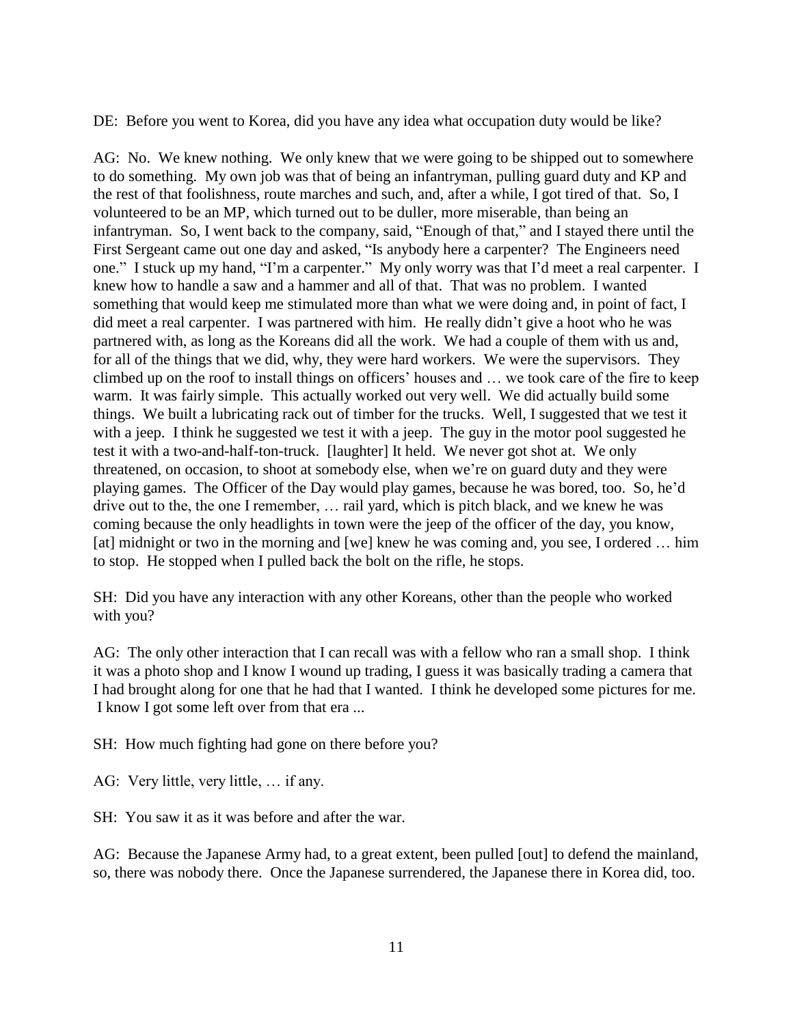DE: Before you went to Korea, did you have any idea what occupation duty would be like?

AG: No. We knew nothing. We only knew that we were going to be shipped out to somewhere to do something. My own job was that of being an infantryman, pulling guard duty and KP and the rest of that foolishness, route marches and such, and, after a while, I got tired of that. So, I volunteered to be an MP, which turned out to be duller, more miserable, than being an infantryman. So, I went back to the company, said, "Enough of that," and I stayed there until the First Sergeant came out one day and asked, "Is anybody here a carpenter? The Engineers need one." I stuck up my hand, "I'm a carpenter." My only worry was that I'd meet a real carpenter. I knew how to handle a saw and a hammer and all of that. That was no problem. I wanted something that would keep me stimulated more than what we were doing and, in point of fact, I did meet a real carpenter. I was partnered with him. He really didn't give a hoot who he was partnered with, as long as the Koreans did all the work. We had a couple of them with us and, for all of the things that we did, why, they were hard workers. We were the supervisors. They climbed up on the roof to install things on officers' houses and … we took care of the fire to keep warm. It was fairly simple. This actually worked out very well. We did actually build some things. We built a lubricating rack out of timber for the trucks. Well, I suggested that we test it with a jeep. I think he suggested we test it with a jeep. The guy in the motor pool suggested he test it with a two-and-half-ton-truck. [laughter] It held. We never got shot at. We only threatened, on occasion, to shoot at somebody else, when we're on guard duty and they were playing games. The Officer of the Day would play games, because he was bored, too. So, he'd drive out to the, the one I remember, … rail yard, which is pitch black, and we knew he was coming because the only headlights in town were the jeep of the officer of the day, you know, [at] midnight or two in the morning and [we] knew he was coming and, you see, I ordered ... him to stop. He stopped when I pulled back the bolt on the rifle, he stops.

SH: Did you have any interaction with any other Koreans, other than the people who worked with you?

AG: The only other interaction that I can recall was with a fellow who ran a small shop. I think it was a photo shop and I know I wound up trading, I guess it was basically trading a camera that I had brought along for one that he had that I wanted. I think he developed some pictures for me. I know I got some left over from that era ...

SH: How much fighting had gone on there before you?

AG: Very little, very little, … if any.

SH: You saw it as it was before and after the war.

AG: Because the Japanese Army had, to a great extent, been pulled [out] to defend the mainland, so, there was nobody there. Once the Japanese surrendered, the Japanese there in Korea did, too.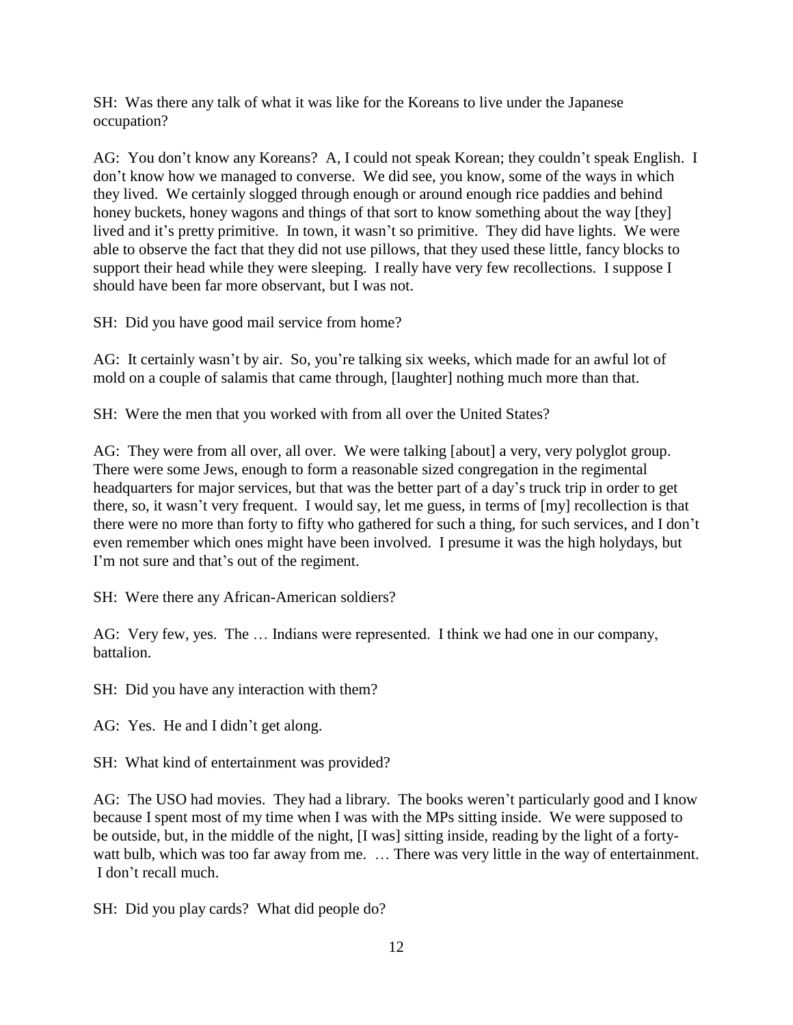SH: Was there any talk of what it was like for the Koreans to live under the Japanese occupation?

AG: You don't know any Koreans? A, I could not speak Korean; they couldn't speak English. I don't know how we managed to converse. We did see, you know, some of the ways in which they lived. We certainly slogged through enough or around enough rice paddies and behind honey buckets, honey wagons and things of that sort to know something about the way [they] lived and it's pretty primitive. In town, it wasn't so primitive. They did have lights. We were able to observe the fact that they did not use pillows, that they used these little, fancy blocks to support their head while they were sleeping. I really have very few recollections. I suppose I should have been far more observant, but I was not.

SH: Did you have good mail service from home?

AG: It certainly wasn't by air. So, you're talking six weeks, which made for an awful lot of mold on a couple of salamis that came through, [laughter] nothing much more than that.

SH: Were the men that you worked with from all over the United States?

AG: They were from all over, all over. We were talking [about] a very, very polyglot group. There were some Jews, enough to form a reasonable sized congregation in the regimental headquarters for major services, but that was the better part of a day's truck trip in order to get there, so, it wasn't very frequent. I would say, let me guess, in terms of [my] recollection is that there were no more than forty to fifty who gathered for such a thing, for such services, and I don't even remember which ones might have been involved. I presume it was the high holydays, but I'm not sure and that's out of the regiment.

SH: Were there any African-American soldiers?

AG: Very few, yes. The … Indians were represented. I think we had one in our company, battalion.

SH: Did you have any interaction with them?

AG: Yes. He and I didn't get along.

SH: What kind of entertainment was provided?

AG: The USO had movies. They had a library. The books weren't particularly good and I know because I spent most of my time when I was with the MPs sitting inside. We were supposed to be outside, but, in the middle of the night, [I was] sitting inside, reading by the light of a fortywatt bulb, which was too far away from me. ... There was very little in the way of entertainment. I don't recall much.

SH: Did you play cards? What did people do?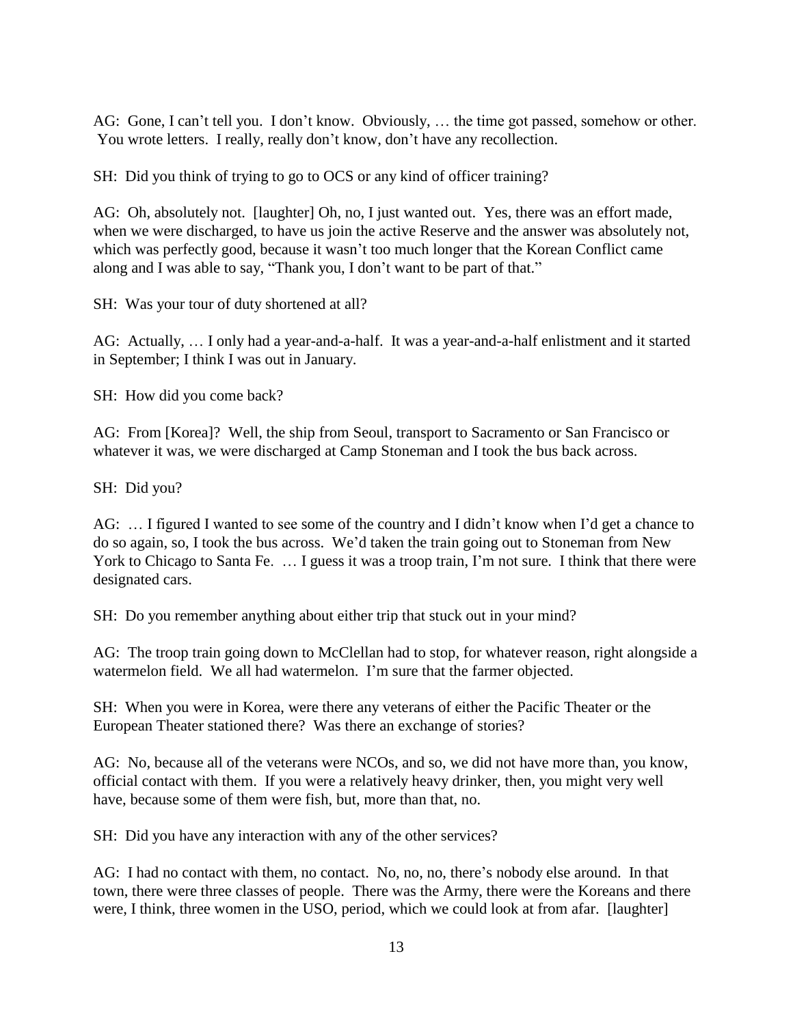AG: Gone, I can't tell you. I don't know. Obviously, … the time got passed, somehow or other. You wrote letters. I really, really don't know, don't have any recollection.

SH: Did you think of trying to go to OCS or any kind of officer training?

AG: Oh, absolutely not. [laughter] Oh, no, I just wanted out. Yes, there was an effort made, when we were discharged, to have us join the active Reserve and the answer was absolutely not, which was perfectly good, because it wasn't too much longer that the Korean Conflict came along and I was able to say, "Thank you, I don't want to be part of that."

SH: Was your tour of duty shortened at all?

AG: Actually, … I only had a year-and-a-half. It was a year-and-a-half enlistment and it started in September; I think I was out in January.

SH: How did you come back?

AG: From [Korea]? Well, the ship from Seoul, transport to Sacramento or San Francisco or whatever it was, we were discharged at Camp Stoneman and I took the bus back across.

SH: Did you?

AG: ... I figured I wanted to see some of the country and I didn't know when I'd get a chance to do so again, so, I took the bus across. We'd taken the train going out to Stoneman from New York to Chicago to Santa Fe. ... I guess it was a troop train, I'm not sure. I think that there were designated cars.

SH: Do you remember anything about either trip that stuck out in your mind?

AG: The troop train going down to McClellan had to stop, for whatever reason, right alongside a watermelon field. We all had watermelon. I'm sure that the farmer objected.

SH: When you were in Korea, were there any veterans of either the Pacific Theater or the European Theater stationed there? Was there an exchange of stories?

AG: No, because all of the veterans were NCOs, and so, we did not have more than, you know, official contact with them. If you were a relatively heavy drinker, then, you might very well have, because some of them were fish, but, more than that, no.

SH: Did you have any interaction with any of the other services?

AG: I had no contact with them, no contact. No, no, no, there's nobody else around. In that town, there were three classes of people. There was the Army, there were the Koreans and there were, I think, three women in the USO, period, which we could look at from afar. [laughter]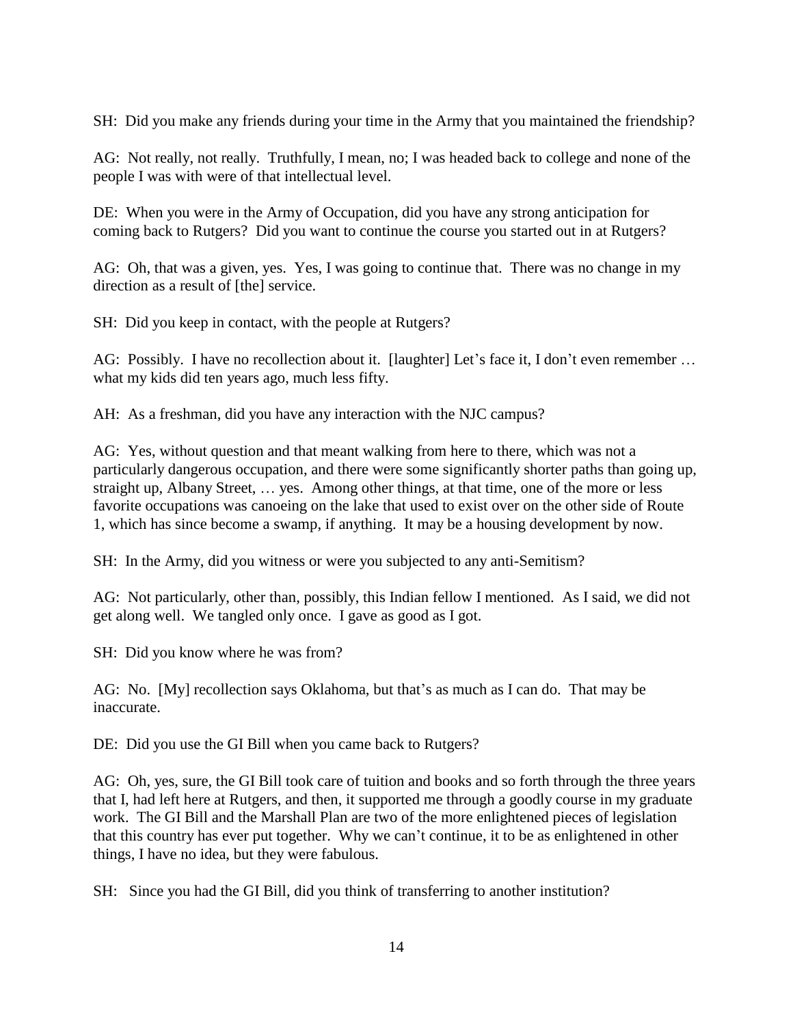SH: Did you make any friends during your time in the Army that you maintained the friendship?

AG: Not really, not really. Truthfully, I mean, no; I was headed back to college and none of the people I was with were of that intellectual level.

DE: When you were in the Army of Occupation, did you have any strong anticipation for coming back to Rutgers? Did you want to continue the course you started out in at Rutgers?

AG: Oh, that was a given, yes. Yes, I was going to continue that. There was no change in my direction as a result of [the] service.

SH: Did you keep in contact, with the people at Rutgers?

AG: Possibly. I have no recollection about it. [laughter] Let's face it, I don't even remember ... what my kids did ten years ago, much less fifty.

AH: As a freshman, did you have any interaction with the NJC campus?

AG: Yes, without question and that meant walking from here to there, which was not a particularly dangerous occupation, and there were some significantly shorter paths than going up, straight up, Albany Street, … yes. Among other things, at that time, one of the more or less favorite occupations was canoeing on the lake that used to exist over on the other side of Route 1, which has since become a swamp, if anything. It may be a housing development by now.

SH: In the Army, did you witness or were you subjected to any anti-Semitism?

AG: Not particularly, other than, possibly, this Indian fellow I mentioned. As I said, we did not get along well. We tangled only once. I gave as good as I got.

SH: Did you know where he was from?

AG: No. [My] recollection says Oklahoma, but that's as much as I can do. That may be inaccurate.

DE: Did you use the GI Bill when you came back to Rutgers?

AG: Oh, yes, sure, the GI Bill took care of tuition and books and so forth through the three years that I, had left here at Rutgers, and then, it supported me through a goodly course in my graduate work. The GI Bill and the Marshall Plan are two of the more enlightened pieces of legislation that this country has ever put together. Why we can't continue, it to be as enlightened in other things, I have no idea, but they were fabulous.

SH: Since you had the GI Bill, did you think of transferring to another institution?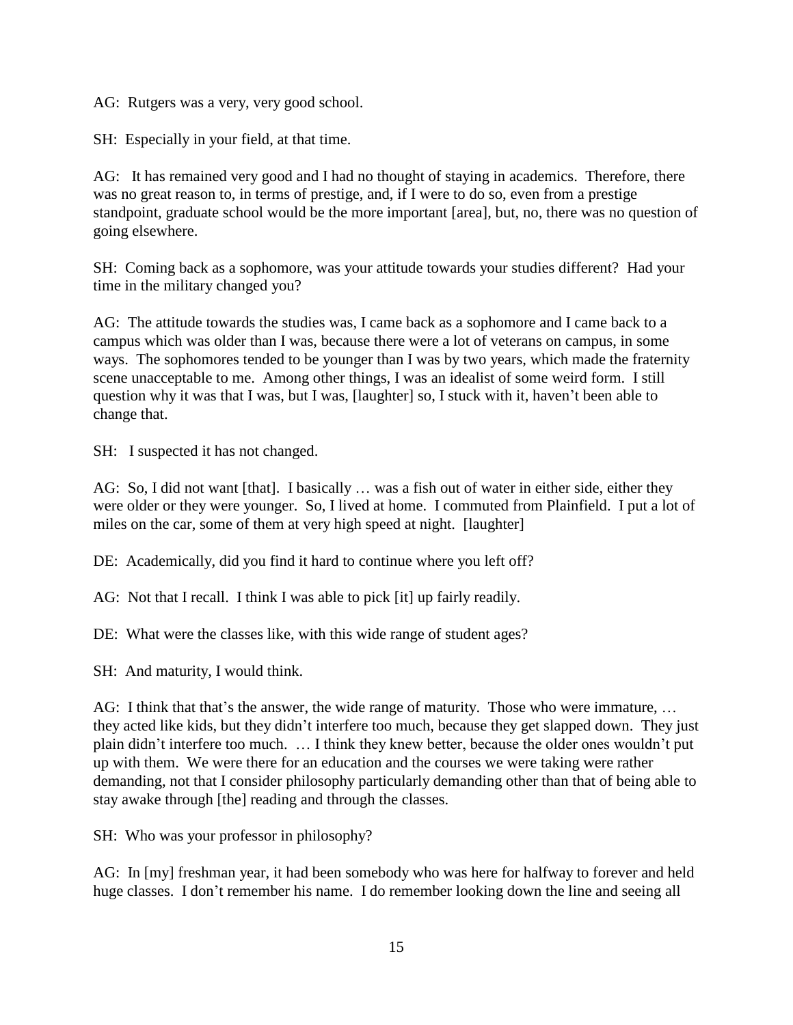AG: Rutgers was a very, very good school.

SH: Especially in your field, at that time.

AG: It has remained very good and I had no thought of staying in academics. Therefore, there was no great reason to, in terms of prestige, and, if I were to do so, even from a prestige standpoint, graduate school would be the more important [area], but, no, there was no question of going elsewhere.

SH: Coming back as a sophomore, was your attitude towards your studies different? Had your time in the military changed you?

AG: The attitude towards the studies was, I came back as a sophomore and I came back to a campus which was older than I was, because there were a lot of veterans on campus, in some ways. The sophomores tended to be younger than I was by two years, which made the fraternity scene unacceptable to me. Among other things, I was an idealist of some weird form. I still question why it was that I was, but I was, [laughter] so, I stuck with it, haven't been able to change that.

SH: I suspected it has not changed.

AG: So, I did not want [that]. I basically … was a fish out of water in either side, either they were older or they were younger. So, I lived at home. I commuted from Plainfield. I put a lot of miles on the car, some of them at very high speed at night. [laughter]

DE: Academically, did you find it hard to continue where you left off?

AG: Not that I recall. I think I was able to pick [it] up fairly readily.

DE: What were the classes like, with this wide range of student ages?

SH: And maturity, I would think.

AG: I think that that's the answer, the wide range of maturity. Those who were immature, ... they acted like kids, but they didn't interfere too much, because they get slapped down. They just plain didn't interfere too much. … I think they knew better, because the older ones wouldn't put up with them. We were there for an education and the courses we were taking were rather demanding, not that I consider philosophy particularly demanding other than that of being able to stay awake through [the] reading and through the classes.

SH: Who was your professor in philosophy?

AG: In [my] freshman year, it had been somebody who was here for halfway to forever and held huge classes. I don't remember his name. I do remember looking down the line and seeing all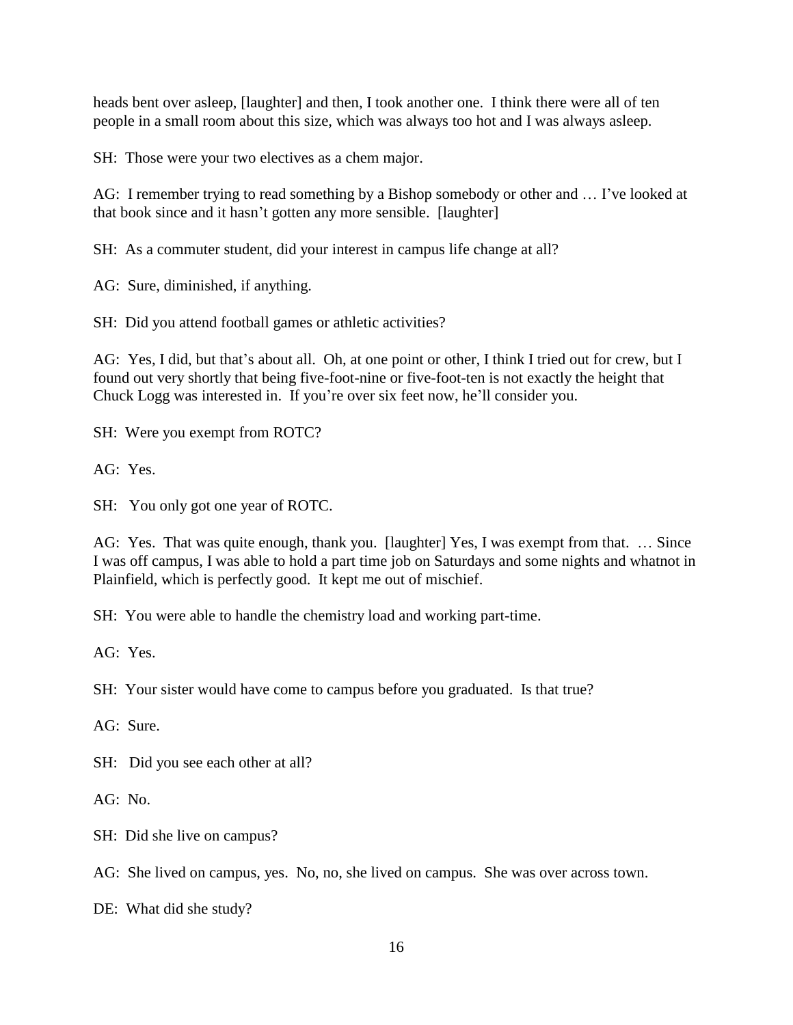heads bent over asleep, [laughter] and then, I took another one. I think there were all of ten people in a small room about this size, which was always too hot and I was always asleep.

SH: Those were your two electives as a chem major.

AG: I remember trying to read something by a Bishop somebody or other and … I've looked at that book since and it hasn't gotten any more sensible. [laughter]

SH: As a commuter student, did your interest in campus life change at all?

AG: Sure, diminished, if anything.

SH: Did you attend football games or athletic activities?

AG: Yes, I did, but that's about all. Oh, at one point or other, I think I tried out for crew, but I found out very shortly that being five-foot-nine or five-foot-ten is not exactly the height that Chuck Logg was interested in. If you're over six feet now, he'll consider you.

SH: Were you exempt from ROTC?

AG: Yes.

SH: You only got one year of ROTC.

AG: Yes. That was quite enough, thank you. [laughter] Yes, I was exempt from that. … Since I was off campus, I was able to hold a part time job on Saturdays and some nights and whatnot in Plainfield, which is perfectly good. It kept me out of mischief.

SH: You were able to handle the chemistry load and working part-time.

AG: Yes.

SH: Your sister would have come to campus before you graduated. Is that true?

AG: Sure.

SH: Did you see each other at all?

AG: No.

SH: Did she live on campus?

AG: She lived on campus, yes. No, no, she lived on campus. She was over across town.

DE: What did she study?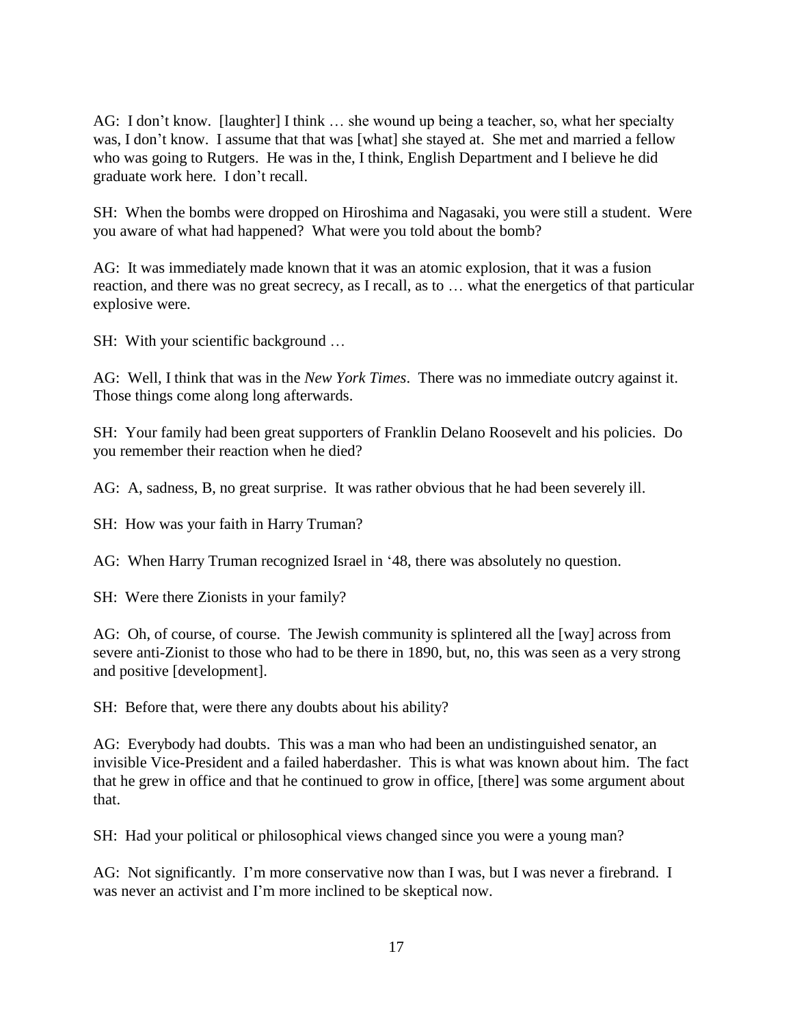AG: I don't know. [laughter] I think … she wound up being a teacher, so, what her specialty was, I don't know. I assume that that was [what] she stayed at. She met and married a fellow who was going to Rutgers. He was in the, I think, English Department and I believe he did graduate work here. I don't recall.

SH: When the bombs were dropped on Hiroshima and Nagasaki, you were still a student. Were you aware of what had happened? What were you told about the bomb?

AG: It was immediately made known that it was an atomic explosion, that it was a fusion reaction, and there was no great secrecy, as I recall, as to … what the energetics of that particular explosive were.

SH: With your scientific background …

AG: Well, I think that was in the *New York Times*. There was no immediate outcry against it. Those things come along long afterwards.

SH: Your family had been great supporters of Franklin Delano Roosevelt and his policies. Do you remember their reaction when he died?

AG: A, sadness, B, no great surprise. It was rather obvious that he had been severely ill.

SH: How was your faith in Harry Truman?

AG: When Harry Truman recognized Israel in '48, there was absolutely no question.

SH: Were there Zionists in your family?

AG: Oh, of course, of course. The Jewish community is splintered all the [way] across from severe anti-Zionist to those who had to be there in 1890, but, no, this was seen as a very strong and positive [development].

SH: Before that, were there any doubts about his ability?

AG: Everybody had doubts. This was a man who had been an undistinguished senator, an invisible Vice-President and a failed haberdasher. This is what was known about him. The fact that he grew in office and that he continued to grow in office, [there] was some argument about that.

SH: Had your political or philosophical views changed since you were a young man?

AG: Not significantly. I'm more conservative now than I was, but I was never a firebrand. I was never an activist and I'm more inclined to be skeptical now.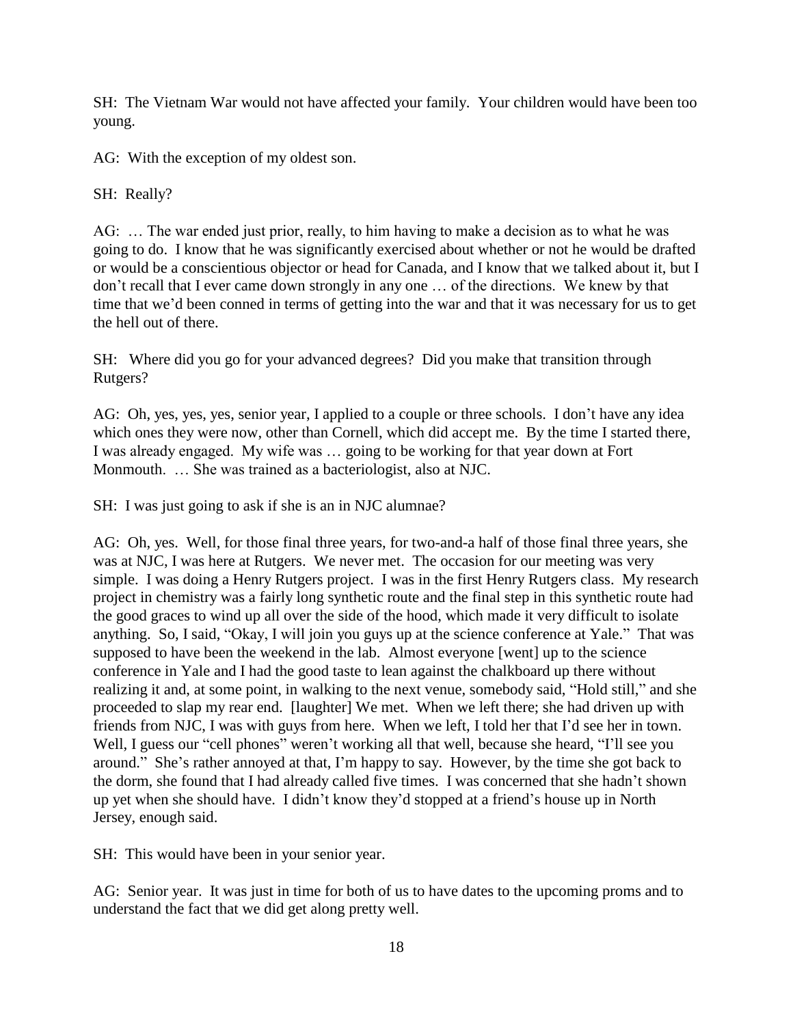SH: The Vietnam War would not have affected your family. Your children would have been too young.

AG: With the exception of my oldest son.

SH: Really?

AG: … The war ended just prior, really, to him having to make a decision as to what he was going to do. I know that he was significantly exercised about whether or not he would be drafted or would be a conscientious objector or head for Canada, and I know that we talked about it, but I don't recall that I ever came down strongly in any one … of the directions. We knew by that time that we'd been conned in terms of getting into the war and that it was necessary for us to get the hell out of there.

SH: Where did you go for your advanced degrees? Did you make that transition through Rutgers?

AG: Oh, yes, yes, yes, senior year, I applied to a couple or three schools. I don't have any idea which ones they were now, other than Cornell, which did accept me. By the time I started there, I was already engaged. My wife was … going to be working for that year down at Fort Monmouth. … She was trained as a bacteriologist, also at NJC.

SH: I was just going to ask if she is an in NJC alumnae?

AG: Oh, yes. Well, for those final three years, for two-and-a half of those final three years, she was at NJC, I was here at Rutgers. We never met. The occasion for our meeting was very simple. I was doing a Henry Rutgers project. I was in the first Henry Rutgers class. My research project in chemistry was a fairly long synthetic route and the final step in this synthetic route had the good graces to wind up all over the side of the hood, which made it very difficult to isolate anything. So, I said, "Okay, I will join you guys up at the science conference at Yale." That was supposed to have been the weekend in the lab. Almost everyone [went] up to the science conference in Yale and I had the good taste to lean against the chalkboard up there without realizing it and, at some point, in walking to the next venue, somebody said, "Hold still," and she proceeded to slap my rear end. [laughter] We met. When we left there; she had driven up with friends from NJC, I was with guys from here. When we left, I told her that I'd see her in town. Well, I guess our "cell phones" weren't working all that well, because she heard, "I'll see you around." She's rather annoyed at that, I'm happy to say. However, by the time she got back to the dorm, she found that I had already called five times. I was concerned that she hadn't shown up yet when she should have. I didn't know they'd stopped at a friend's house up in North Jersey, enough said.

SH: This would have been in your senior year.

AG: Senior year. It was just in time for both of us to have dates to the upcoming proms and to understand the fact that we did get along pretty well.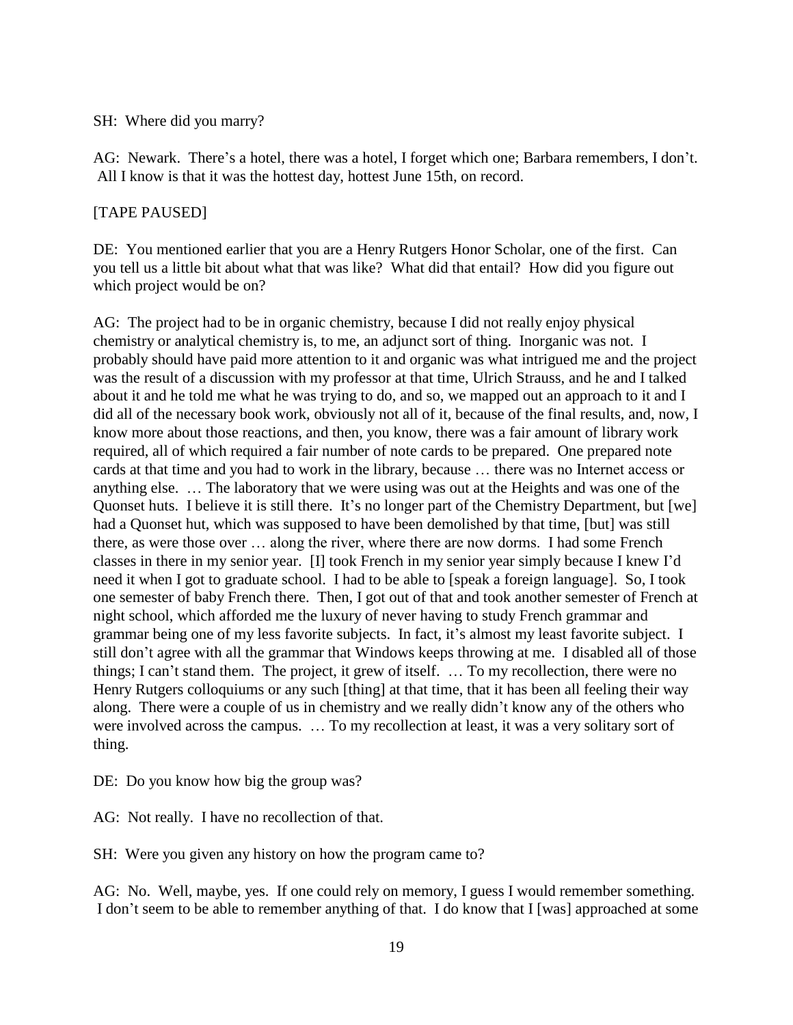### SH: Where did you marry?

AG: Newark. There's a hotel, there was a hotel, I forget which one; Barbara remembers, I don't. All I know is that it was the hottest day, hottest June 15th, on record.

### [TAPE PAUSED]

DE: You mentioned earlier that you are a Henry Rutgers Honor Scholar, one of the first. Can you tell us a little bit about what that was like? What did that entail? How did you figure out which project would be on?

AG: The project had to be in organic chemistry, because I did not really enjoy physical chemistry or analytical chemistry is, to me, an adjunct sort of thing. Inorganic was not. I probably should have paid more attention to it and organic was what intrigued me and the project was the result of a discussion with my professor at that time, Ulrich Strauss, and he and I talked about it and he told me what he was trying to do, and so, we mapped out an approach to it and I did all of the necessary book work, obviously not all of it, because of the final results, and, now, I know more about those reactions, and then, you know, there was a fair amount of library work required, all of which required a fair number of note cards to be prepared. One prepared note cards at that time and you had to work in the library, because … there was no Internet access or anything else. … The laboratory that we were using was out at the Heights and was one of the Quonset huts. I believe it is still there. It's no longer part of the Chemistry Department, but [we] had a Quonset hut, which was supposed to have been demolished by that time, [but] was still there, as were those over … along the river, where there are now dorms. I had some French classes in there in my senior year. [I] took French in my senior year simply because I knew I'd need it when I got to graduate school. I had to be able to [speak a foreign language]. So, I took one semester of baby French there. Then, I got out of that and took another semester of French at night school, which afforded me the luxury of never having to study French grammar and grammar being one of my less favorite subjects. In fact, it's almost my least favorite subject. I still don't agree with all the grammar that Windows keeps throwing at me. I disabled all of those things; I can't stand them. The project, it grew of itself. … To my recollection, there were no Henry Rutgers colloquiums or any such [thing] at that time, that it has been all feeling their way along. There were a couple of us in chemistry and we really didn't know any of the others who were involved across the campus. … To my recollection at least, it was a very solitary sort of thing.

DE: Do you know how big the group was?

AG: Not really. I have no recollection of that.

SH: Were you given any history on how the program came to?

AG: No. Well, maybe, yes. If one could rely on memory, I guess I would remember something. I don't seem to be able to remember anything of that. I do know that I [was] approached at some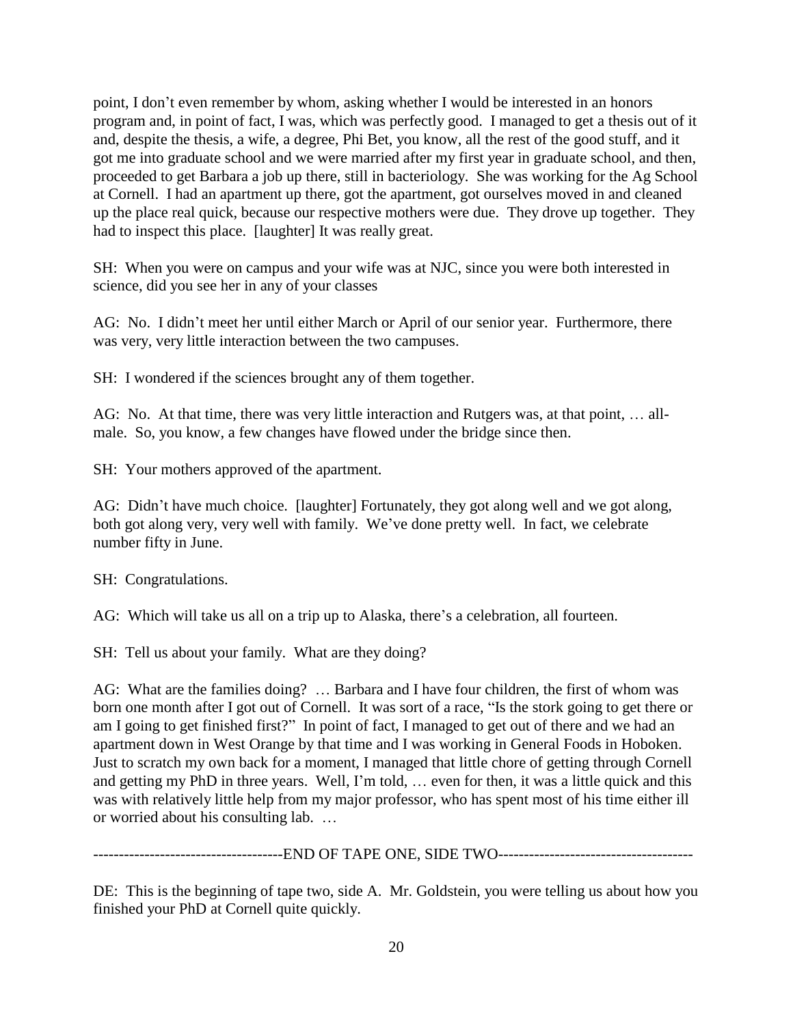point, I don't even remember by whom, asking whether I would be interested in an honors program and, in point of fact, I was, which was perfectly good. I managed to get a thesis out of it and, despite the thesis, a wife, a degree, Phi Bet, you know, all the rest of the good stuff, and it got me into graduate school and we were married after my first year in graduate school, and then, proceeded to get Barbara a job up there, still in bacteriology. She was working for the Ag School at Cornell. I had an apartment up there, got the apartment, got ourselves moved in and cleaned up the place real quick, because our respective mothers were due. They drove up together. They had to inspect this place. [laughter] It was really great.

SH: When you were on campus and your wife was at NJC, since you were both interested in science, did you see her in any of your classes

AG: No. I didn't meet her until either March or April of our senior year. Furthermore, there was very, very little interaction between the two campuses.

SH: I wondered if the sciences brought any of them together.

AG: No. At that time, there was very little interaction and Rutgers was, at that point, … allmale. So, you know, a few changes have flowed under the bridge since then.

SH: Your mothers approved of the apartment.

AG: Didn't have much choice. [laughter] Fortunately, they got along well and we got along, both got along very, very well with family. We've done pretty well. In fact, we celebrate number fifty in June.

SH: Congratulations.

AG: Which will take us all on a trip up to Alaska, there's a celebration, all fourteen.

SH: Tell us about your family. What are they doing?

AG: What are the families doing? … Barbara and I have four children, the first of whom was born one month after I got out of Cornell. It was sort of a race, "Is the stork going to get there or am I going to get finished first?" In point of fact, I managed to get out of there and we had an apartment down in West Orange by that time and I was working in General Foods in Hoboken. Just to scratch my own back for a moment, I managed that little chore of getting through Cornell and getting my PhD in three years. Well, I'm told, … even for then, it was a little quick and this was with relatively little help from my major professor, who has spent most of his time either ill or worried about his consulting lab. …

----------------END OF TAPE ONE, SIDE TWO-----------------------

DE: This is the beginning of tape two, side A. Mr. Goldstein, you were telling us about how you finished your PhD at Cornell quite quickly.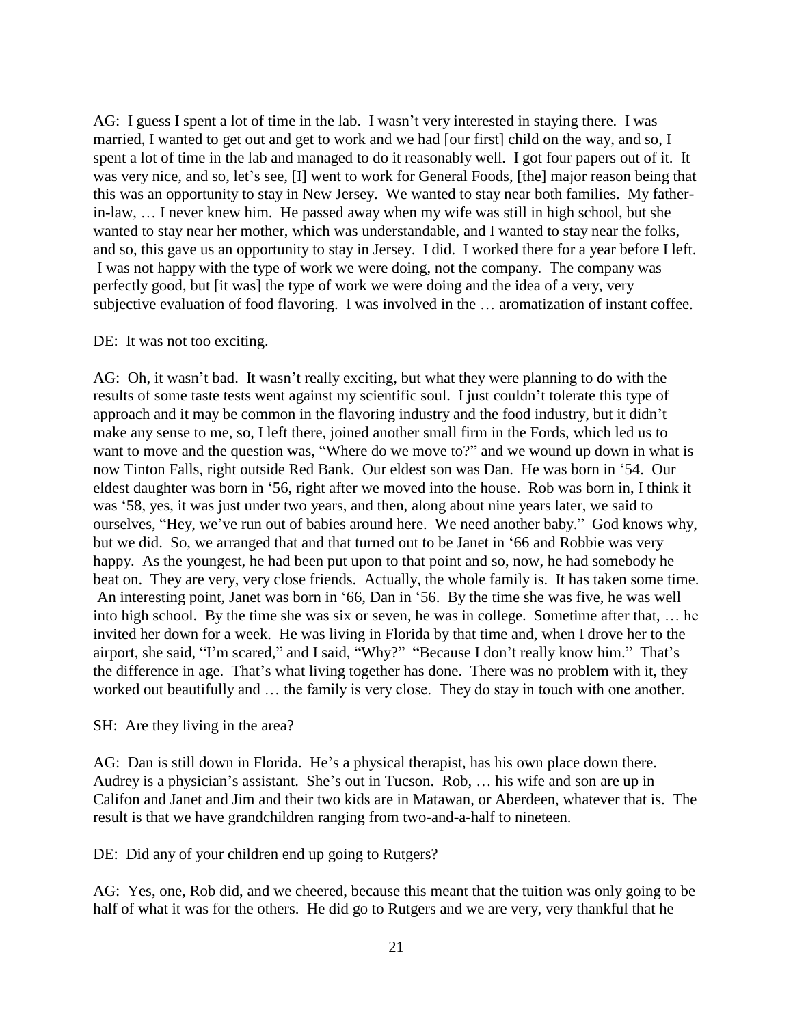AG: I guess I spent a lot of time in the lab. I wasn't very interested in staying there. I was married, I wanted to get out and get to work and we had [our first] child on the way, and so, I spent a lot of time in the lab and managed to do it reasonably well. I got four papers out of it. It was very nice, and so, let's see, [I] went to work for General Foods, [the] major reason being that this was an opportunity to stay in New Jersey. We wanted to stay near both families. My fatherin-law, … I never knew him. He passed away when my wife was still in high school, but she wanted to stay near her mother, which was understandable, and I wanted to stay near the folks, and so, this gave us an opportunity to stay in Jersey. I did. I worked there for a year before I left. I was not happy with the type of work we were doing, not the company. The company was perfectly good, but [it was] the type of work we were doing and the idea of a very, very subjective evaluation of food flavoring. I was involved in the … aromatization of instant coffee.

#### DE: It was not too exciting.

AG: Oh, it wasn't bad. It wasn't really exciting, but what they were planning to do with the results of some taste tests went against my scientific soul. I just couldn't tolerate this type of approach and it may be common in the flavoring industry and the food industry, but it didn't make any sense to me, so, I left there, joined another small firm in the Fords, which led us to want to move and the question was, "Where do we move to?" and we wound up down in what is now Tinton Falls, right outside Red Bank. Our eldest son was Dan. He was born in '54. Our eldest daughter was born in '56, right after we moved into the house. Rob was born in, I think it was '58, yes, it was just under two years, and then, along about nine years later, we said to ourselves, "Hey, we've run out of babies around here. We need another baby." God knows why, but we did. So, we arranged that and that turned out to be Janet in '66 and Robbie was very happy. As the youngest, he had been put upon to that point and so, now, he had somebody he beat on. They are very, very close friends. Actually, the whole family is. It has taken some time. An interesting point, Janet was born in '66, Dan in '56. By the time she was five, he was well into high school. By the time she was six or seven, he was in college. Sometime after that, … he invited her down for a week. He was living in Florida by that time and, when I drove her to the airport, she said, "I'm scared," and I said, "Why?" "Because I don't really know him." That's the difference in age. That's what living together has done. There was no problem with it, they worked out beautifully and … the family is very close. They do stay in touch with one another.

SH: Are they living in the area?

AG: Dan is still down in Florida. He's a physical therapist, has his own place down there. Audrey is a physician's assistant. She's out in Tucson. Rob, … his wife and son are up in Califon and Janet and Jim and their two kids are in Matawan, or Aberdeen, whatever that is. The result is that we have grandchildren ranging from two-and-a-half to nineteen.

DE: Did any of your children end up going to Rutgers?

AG: Yes, one, Rob did, and we cheered, because this meant that the tuition was only going to be half of what it was for the others. He did go to Rutgers and we are very, very thankful that he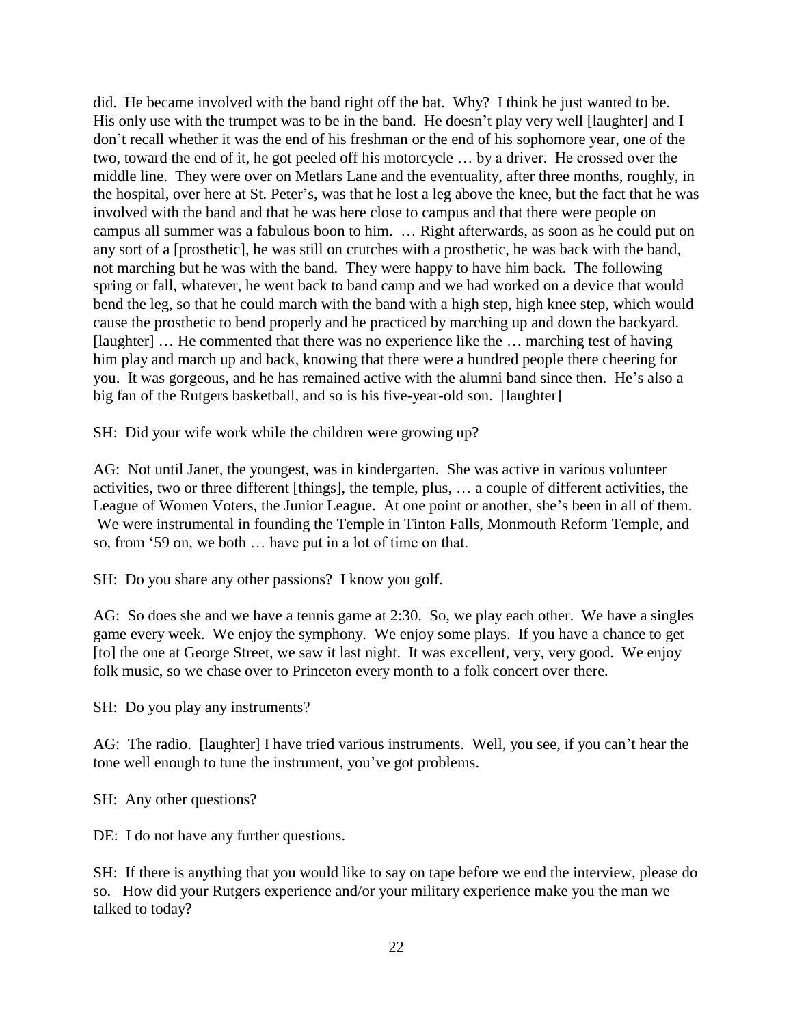did. He became involved with the band right off the bat. Why? I think he just wanted to be. His only use with the trumpet was to be in the band. He doesn't play very well [laughter] and I don't recall whether it was the end of his freshman or the end of his sophomore year, one of the two, toward the end of it, he got peeled off his motorcycle … by a driver. He crossed over the middle line. They were over on Metlars Lane and the eventuality, after three months, roughly, in the hospital, over here at St. Peter's, was that he lost a leg above the knee, but the fact that he was involved with the band and that he was here close to campus and that there were people on campus all summer was a fabulous boon to him. … Right afterwards, as soon as he could put on any sort of a [prosthetic], he was still on crutches with a prosthetic, he was back with the band, not marching but he was with the band. They were happy to have him back. The following spring or fall, whatever, he went back to band camp and we had worked on a device that would bend the leg, so that he could march with the band with a high step, high knee step, which would cause the prosthetic to bend properly and he practiced by marching up and down the backyard. [laughter] … He commented that there was no experience like the … marching test of having him play and march up and back, knowing that there were a hundred people there cheering for you. It was gorgeous, and he has remained active with the alumni band since then. He's also a big fan of the Rutgers basketball, and so is his five-year-old son. [laughter]

SH: Did your wife work while the children were growing up?

AG: Not until Janet, the youngest, was in kindergarten. She was active in various volunteer activities, two or three different [things], the temple, plus, … a couple of different activities, the League of Women Voters, the Junior League. At one point or another, she's been in all of them. We were instrumental in founding the Temple in Tinton Falls, Monmouth Reform Temple, and so, from '59 on, we both … have put in a lot of time on that.

SH: Do you share any other passions? I know you golf.

AG: So does she and we have a tennis game at 2:30. So, we play each other. We have a singles game every week. We enjoy the symphony. We enjoy some plays. If you have a chance to get [to] the one at George Street, we saw it last night. It was excellent, very, very good. We enjoy folk music, so we chase over to Princeton every month to a folk concert over there.

SH: Do you play any instruments?

AG: The radio. [laughter] I have tried various instruments. Well, you see, if you can't hear the tone well enough to tune the instrument, you've got problems.

SH: Any other questions?

DE: I do not have any further questions.

SH: If there is anything that you would like to say on tape before we end the interview, please do so. How did your Rutgers experience and/or your military experience make you the man we talked to today?